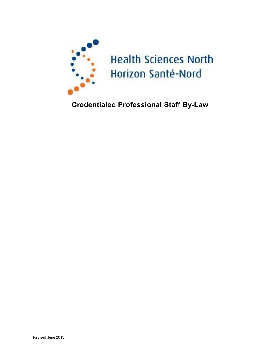

# **Credentialed Professional Staff By-Law**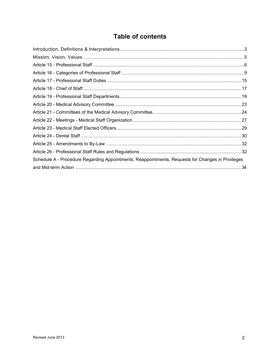# **Table of contents**

| Schedule A - Procedure Regarding Appointments, Reappointments, Requests for Changes in Privileges |  |
|---------------------------------------------------------------------------------------------------|--|
|                                                                                                   |  |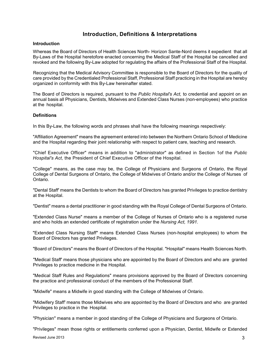# **Introduction, Definitions & Interpretations**

#### <span id="page-2-0"></span>**Introduction**

Whereas the Board of Directors of Health Sciences North- Horizon Sante-Nord deems it expedient that all By-Laws of the Hospital heretofore enacted concerning the Medical Staff of the Hospital be cancelled and revoked and the following By-Law adopted for regulating the affairs of the Professional Staff of the Hospital.

Recognizing that the Medical Advisory Committee is responsible to the Board of Directors for the quality of care provided by the Credentialed Professional Staff, Professional Staff practicing in the Hospital are hereby organized in conformity with this By-Law hereinafter stated.

The Board of Directors is required, pursuant to the *Public Hospital's Act,* to credential and appoint on an annual basis all Physicians, Dentists, Midwives and Extended Class Nurses (non-employees) who practice at the hospital.

#### **Definitions**

In this By-Law, the following words and phrases shall have the following meanings respectively:

"Affiliation Agreement" means the agreement entered into between the Northern Ontario School of Medicine and the Hospital regarding their joint relationship with respect to patient care, teaching and research.

"Chief Executive Officer" means in addition to "administrator" as defined in Section 1of the *Public Hospital's Act,* the President of Chief Executive Officer of the Hospital.

"College" means, as the case may be, the College of Physicians and Surgeons of Ontario, the Royal College of Dental Surgeons of Ontario, the College of Midwives of Ontario and/or the College of Nurses of Ontario.

"Dental Staff' means the Dentists to whom the Board of Directors has granted Privileges to practice dentistry at the Hospital.

"Dentist" means a dental practitioner in good standing with the Royal College of Dental Surgeons of Ontario.

"Extended Class Nurse" means a member of the College of Nurses of Ontario who is a registered nurse and who holds an extended certificate of registration under the *Nursing Act, 1991.* 

"Extended Class Nursing Staff" means Extended Class Nurses (non-hospital employees) to whom the Board of Directors has granted Privileges.

"Board of Directors" means the Board of Directors of the Hospital. "Hospital" means Health Sciences North.

"Medical Staff' means those physicians who are appointed by the Board of Directors and who are granted Privileges to practice medicine in the Hospital.

"Medical Staff Rules and Regulations" means provisions approved by the Board of Directors concerning the practice and professional conduct of the members of the Professional Staff.

"Midwife" means a Midwife in good standing with the College of Midwives of Ontario.

"Midwifery Staff' means those Midwives who are appointed by the Board of Directors and who are granted Privileges to practice in the Hospital.

"Physician" means a member in good standing of the College of Physicians and Surgeons of Ontario.

Revised June 2013 **3** "Privileges" mean those rights or entitlements conferred upon a Physician, Dentist, Midwife or Extended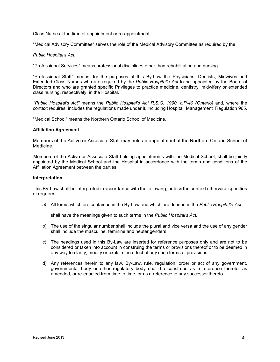Class Nurse at the time of appointment or re-appointment.

"Medical Advisory Committee" serves the role of the Medical Advisory Committee as required by the

#### *Public Hospital's Act.*

"Professional Services" means professional disciplines other than rehabilitation and nursing.

"Professional Staff" means, for the purposes of this By-Law the Physicians, Dentists, Midwives and Extended Class Nurses who are required by the *Public Hospital's Act* to be appointed by the Board of Directors and who are granted specific Privileges to practice medicine, dentistry, midwifery or extended class nursing, respectively, in the Hospital.

*"Public Hospital's Act"* means the *Public Hospital's Act R.S.O. 1990, c.P-40 {Ontario)* and, where the context requires, includes the regulations made under it, including Hospital Management Regulation 965.

"Medical School" means the Northern Ontario School of Medicine.

#### **Affiliation Agreement**

Members of the Active or Associate Staff may hold an appointment at the Northern Ontario School of Medicine.

Members of the Active or Associate Staff holding appointments with the Medical School, shall be jointly appointed by the Medical School and the Hospital in accordance with the terms and conditions of the Affiliation Agreement between the parties.

#### **Interpretation**

This By-Law shall be interpreted in accordance with the following, unless the context otherwise specifies or requires:

*a)* All terms which are contained in the By-Law and which are defined in the *Public Hospital's Act* 

shall have the meanings given to such terms in the *Public Hospital's Act.* 

- b) The use of the singular number shall include the plural and vice versa and the use of any gender shall include the masculine, feminine and neuter genders.
- c) The headings used in this By-Law are inserted for reference purposes only and are not to be considered or taken into account in construing the terms or provisions thereof or to be deemed in any way to clarify, modify or explain the effect of any such terms or provisions.
- d) Any references herein to any law, By-Law, rule, regulation, order or act of any government, governmental body or other regulatory body shall be construed as a reference thereto, as amended, or re-enacted from time to time, or as a reference to any successor thereto.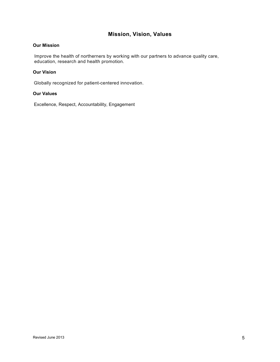# **Mission, Vision, Values**

#### <span id="page-4-0"></span>**Our Mission**

Improve the health of northerners by working with our partners to advance quality care, education, research and health promotion.

#### **Our Vision**

Globally recognized for patient-centered innovation.

#### **Our Values**

Excellence, Respect, Accountability, Engagement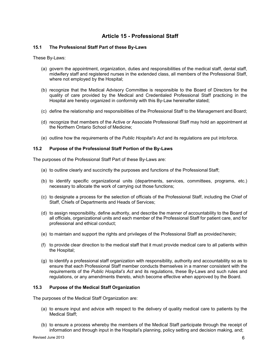# **Article 15 - Professional Staff**

#### <span id="page-5-0"></span>**15.1 The Professional Staff Part of these By-Laws**

These By-Laws:

- (a) govern the appointment, organization, duties and responsibilities of the medical staff, dental staff, midwifery staff and registered nurses in the extended class, all members of the Professional Staff, where not employed by the Hospital;
- (b) recognize that the Medical Advisory Committee is responsible to the Board of Directors for the quality of care provided by the Medical and Credentialed Professional Staff practicing in the Hospital are hereby organized in conformity with this By-Law hereinafter stated;
- (c) define the relationship and responsibilities of the Professional Staff to the Management and Board;
- (d) recognize that members of the Active or Associate Professional Staff may hold an appointment at the Northern Ontario School of Medicine;
- (e) outline how the requirements of the *Public Hospital's Act* and its regulations are put into force.

#### **15.2 Purpose of the Professional Staff Portion of the By-Laws**

The purposes of the Professional Staff Part of these By-Laws are:

- (a) to outline clearly and succinctly the purposes and functions of the Professional Staff;
- (b) to identify specific organizational units (departments, services, committees, programs, etc.) necessary to allocate the work of carrying out those functions;
- (c) to designate a process for the selection of officials of the Professional Staff, including the Chief of Staff, Chiefs of Departments and Heads of Services;
- (d) to assign responsibility, define authority, and describe the manner of accountability to the Board of all officials, organizational units and each member of the Professional Staff for patient care, and for professional and ethical conduct;
- (e) to maintain and support the rights and privileges of the Professional Staff as provided herein;
- (f) to provide clear direction to the medical staff that it must provide medical care to all patients within the Hospital;
- (g) to identify a professional staff organization with responsibility, authority and accountability so as to ensure that each Professional Staff member conducts themselves in a manner consistent with the requirements of the *Public Hospital's Act* and its regulations, these By-Laws and such rules and regulations, or any amendments thereto, which become effective when approved by the Board.

#### **15.3 Purpose of the Medical Staff Organization**

The purposes of the Medical Staff Organization are:

- (a) to ensure input and advice with respect to the delivery of quality medical care to patients by the Medical Staff;
- (b) to ensure a process whereby the members of the Medical Staff participate through the receipt of information and through input in the Hospital's planning, policy setting and decision making, and;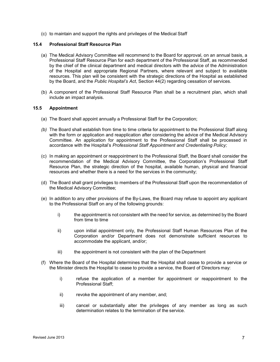(c) to maintain and support the rights and privileges of the Medical Staff

#### **15.4 Professional Staff Resource Plan**

- (a) The Medical Advisory Committee will recommend to the Board for approval, on an annual basis, a Professional Staff Resource Plan for each department of the Professional Staff, as recommended by the chief of the clinical department and medical directors with the advice of the Administration of the Hospital and appropriate Regional Partners, where relevant and subject to available resources. This plan will be consistent with the strategic directions of the Hospital as established by the Board, and the *Public Hospital's Act*, Section 44(2) regarding cessation of services.
- (b) A component of the Professional Staff Resource Plan shall be a recruitment plan, which shall include an impact analysis.

#### **15.5 Appointment**

- (a) The Board shall appoint annually a Professional Staff for the Corporation;
- *(b)* The Board shall establish from time to time criteria for appointment to the Professional Staff along with the form or application and reapplication after considering the advice of the Medical Advisory Committee. An application for appointment to the Professional Staff shall be processed in accordance with the Hospital's *Professional Staff Appointment and Credentialing Policy;*
- (c) In making an appointment or reappointment to the Professional Staff, the Board shall consider the recommendation of the Medical Advisory Committee, the Corporation's Professional Staff Resource Plan, the strategic direction of the hospital, available human, physical and financial resources and whether there is a need for the services in the community;
- (d) The Board shall grant privileges to members of the Professional Staff upon the recommendation of the Medical Advisory Committee;
- (e) In addition to any other provisions of the By-Laws, the Board may refuse to appoint any applicant to the Professional Staff on any of the following grounds:
	- i) the appointment is not consistent with the need for service, as determined by the Board from time to time
	- ii) upon initial appointment only, the Professional Staff Human Resources Plan of the Corporation and/or Department does not demonstrate sufficient resources to accommodate the applicant, and/or;
	- iii) the appointment is not consistent with the plan of the Department
- (f) Where the Board of the Hospital determines that the Hospital shall cease to provide a service or the Minister directs the Hospital to cease to provide a service, the Board of Directors may:
	- i) refuse the application of a member for appointment or reappointment to the Professional Staff;
	- ii) revoke the appointment of any member, and;
	- iii) cancel or substantially alter the privileges of any member as long as such determination relates to the termination of the service.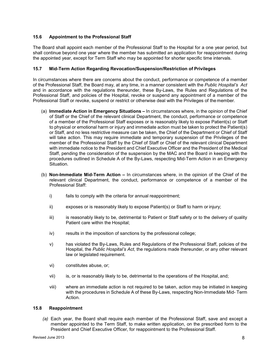#### **15.6 Appointment to the Professional Staff**

The Board shall appoint each member of the Professional Staff to the Hospital for a one year period, but shall continue beyond one year where the member has submitted an application for reappointment during the appointed year, except for Term Staff who may be appointed for shorter specific time intervals.

#### **15.7 Mid-Term Action Regarding Revocation/Suspension/Restriction of Privileges**

In circumstances where there are concerns about the conduct, performance or competence of a member of the Professional Staff, the Board may, at any time, in a manner consistent with the *Public Hospital's Act*  and in accordance with the regulations thereunder, these By-Laws, the Rules and Regulations of the Professional Staff, and policies of the Hospital, revoke or suspend any appointment of a member of the Professional Staff or revoke, suspend or restrict or otherwise deal with the Privileges of the member.

- (a) **Immediate Action in Emergency Situations** In circumstances where, in the opinion of the Chief of Staff or the Chief of the relevant clinical Department, the conduct, performance or competence of a member of the Professional Staff exposes or is reasonably likely to expose Patient(s) or Staff to physical or emotional harm or injury and immediate action must be taken to protect the Patient(s) or Staff, and no less restrictive measure can be taken, the Chief of the Department or Chief of Staff will take action. This may require immediate and temporary suspension of the Privileges of the member of the Professional Staff by the Chief of Staff or Chief of the relevant clinical Department with immediate notice to the President and Chief Executive Officer and the President of the Medical Staff, pending the consideration of the suspension by the MAC and the Board in keeping with the procedures outlined in Schedule A of the By-Laws, respecting Mid-Term Action in an Emergency Situation.
- (b) **Non-Immediate Mid-Term Action** In circumstances where, in the opinion of the Chief of the relevant clinical Department, the conduct, performance or competence of a member of the Professional Staff:
	- i) fails to comply with the criteria for annual reappointment;
	- ii) exposes or is reasonably likely to expose Patient(s) or Staff to harm or injury;
	- iii) is reasonably likely to be, detrimental to Patient or Staff safety or to the delivery of quality Patient care within the Hospital;
	- iv) results in the imposition of sanctions by the professional college;
	- v) has violated the By-Laws, Rules and Regulations of the Professional Staff, policies of the Hospital, the *Public Hospital's Act*, the regulations made thereunder, or any other relevant law or legislated requirement.
	- vi) constitutes abuse, or;
	- vii) is, or is reasonably likely to be, detrimental to the operations of the Hospital, and;
	- viii) where an immediate action is not required to be taken, action may be initiated in keeping with the procedures in Schedule A of these By-Laws, respecting Non-Immediate Mid- Term Action.

#### **15.8 Reappointment**

*(a)* Each year, the Board shall require each member of the Professional Staff, save and except a member appointed to the Term Staff, to make written application, on the prescribed form to the President and Chief Executive Officer, for reappointment to the Professional Staff.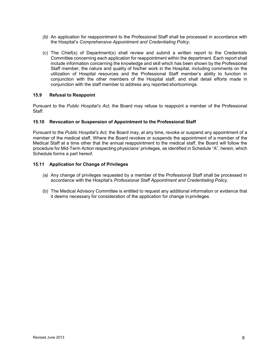- *(b)* An application for reappointment to the Professional Staff shall be processed in accordance with the Hospital's *Comprehensive Appointment and Credentialing Policy.*
- (c) The Chief(s) of Department(s) shall review and submit a written report to the Credentials Committee concerning each application for reappointment within the department. Each report shall include information concerning the knowledge and skill which has been shown by the Professional Staff member, the nature and quality of his/her work in the Hospital, including comments on the utilization of Hospital resources and the Professional Staff member's ability to function in conjunction with the other members of the Hospital staff, and shall detail efforts made in conjunction with the staff member to address any reported shortcomings.

#### **15.9 Refusal to Reappoint**

Pursuant to the *Public Hospital's Act,* the Board may refuse to reappoint a member of the Professional Staff.

#### **15.10 Revocation or Suspension of Appointment to the Professional Staff**

Pursuant to the *Public Hospital's Act,* the Board may, at any time, revoke or suspend any appointment of a member of the medical staff. Where the Board revokes or suspends the appointment of a member of the Medical Staff at a time other that the annual reappointment to the medical staff, the Board will follow the procedure for Mid-Term Action respecting physicians' privileges, as identified in Schedule "A", herein, which Schedule forms a part hereof.

#### **15.11 Application for Change of Privileges**

- *(a)* Any change of privileges requested by a member of the Professional Staff shall be processed in accordance with the Hospital's *Professional Staff Appointment and Credentialing Policy.*
- (b) The Medical Advisory Committee is entitled to request any additional information or evidence that it deems necessary for consideration of the application for change in privileges.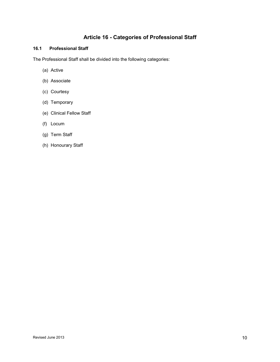# **Article 16 - Categories of Professional Staff**

### <span id="page-9-0"></span>**16.1 Professional Staff**

The Professional Staff shall be divided into the following categories:

- (a) Active
- (b) Associate
- (c) Courtesy
- (d) Temporary
- (e) Clinical Fellow Staff
- (f) Locum
- (g) Term Staff
- (h) Honourary Staff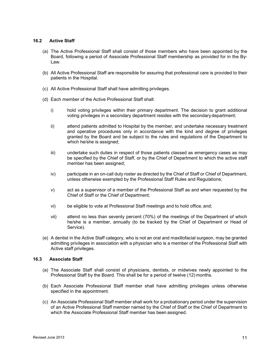#### **16.2 Active Staff**

- (a) The Active Professional Staff shall consist of those members who have been appointed by the Board, following a period of Associate Professional Staff membership as provided for in the By-Law.
- (b) All Active Professional Staff are responsible for assuring that professional care is provided to their patients in the Hospital.
- (c) All Active Professional Staff shall have admitting privileges.
- (d) Each member of the Active Professional Staff shall:
	- i) hold voting privileges within their primary department. The decision to grant additional voting privileges in a secondary department resides with the secondary department;
	- ii) attend patients admitted to Hospital by the member, and undertake necessary treatment and operative procedures only in accordance with the kind and degree of privileges granted by the Board and be subject to the rules and regulations of the Department to which he/she is assigned;
	- iii) undertake such duties in respect of those patients classed as emergency cases as may be specified by the Chief of Staff, or by the Chief of Department to which the active staff member has been assigned;
	- iv) participate in an on-call duty roster as directed by the Chief of Staff or Chief of Department, unless otherwise exempted by the Professional Staff Rules and Regulations;
	- v) act as a supervisor of a member of the Professional Staff as and when requested by the Chief of Staff or the Chief of Department;
	- vi) be eligible to vote at Professional Staff meetings and to hold office, and;
	- vii) attend no less than seventy percent (70%) of the meetings of the Department of which he/she is a member, annually (to be tracked by the Chief of Department or Head of Service).
- (e) A dentist in the Active Staff category, who is not an oral and maxillofacial surgeon, may be granted admitting privileges in association with a physician who is a member of the Professional Staff with Active staff privileges.

#### **16.3 Associate Staff**

- (a) The Associate Staff shall consist of physicians, dentists, or midwives newly appointed to the Professional Staff by the Board. This shall be for a period of twelve (12) months.
- (b) Each Associate Professional Staff member shall have admitting privileges unless otherwise specified in the appointment.
- (c) An Associate Professional Staff member shall work for a probationary period under the supervision of an Active Professional Staff member named by the Chief of Staff or the Chief of Department to which the Associate Professional Staff member has been assigned.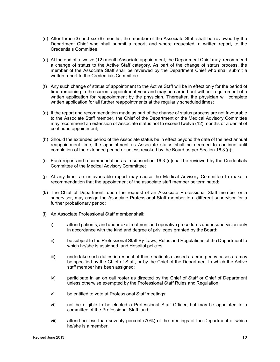- (d) After three (3) and six (6) months, the member of the Associate Staff shall be reviewed by the Department Chief who shall submit a report, and where requested, a written report, to the Credentials Committee.
- (e) At the end of a twelve (12) month Associate appointment, the Department Chief may recommend a change of status to the Active Staff category. As part of the change of status process, the member of the Associate Staff shall be reviewed by the Department Chief who shall submit a written report to the Credentials Committee.
- (f) Any such change of status of appointment to the Active Staff will be in effect only for the period of time remaining in the current appointment year and may be carried out without requirement of a written application for reappointment by the physician. Thereafter, the physician will complete written application for all further reappointments at the regularly scheduled times;
- <span id="page-11-0"></span>(g) If the report and recommendation made as part of the change of status process are not favourable to the Associate Staff member, the Chief of the Department or the Medical Advisory Committee may recommend an extension of Associate status not to exceed twelve (12) months or a denial of continued appointment;
- (h) Should the extended period of the Associate status be in effect beyond the date of the next annual reappointment time, the appointment as Associate status shall be deemed to continue until completion of the extended period or unless revoked by the Board as per Section 16.[3 \(g\);](#page-11-0)
- (i) Each report and recommendation as in subsection 16.3 (e)shall be reviewed by the Credentials Committee of the Medical Advisory Committee;
- (j) At any time, an unfavourable report may cause the Medical Advisory Committee to make a recommendation that the appointment of the associate staff member be terminated;
- (k) The Chief of Department, upon the request of an Associate Professional Staff member or a supervisor, may assign the Associate Professional Staff member to a different supervisor for a further probationary period;
- (l) An Associate Professional Staff member shall:
	- i) attend patients, and undertake treatment and operative procedures under supervision only in accordance with the kind and degree of privileges granted by the Board;
	- ii) be subject to the Professional Staff By-Laws, Rules and Regulations of the Department to which he/she is assigned, and Hospital policies;
	- iii) undertake such duties in respect of those patients classed as emergency cases as may be specified by the Chief of Staff, or by the Chief of the Department to which the Active staff member has been assigned;
	- iv) participate in an on call roster as directed by the Chief of Staff or Chief of Department unless otherwise exempted by the Professional Staff Rules and Regulation;
	- v) be entitled to vote at Professional Staff meetings;
	- vi) not be eligible to be elected a Professional Staff Officer, but may be appointed to a committee of the Professional Staff, and;
	- vii) attend no less than seventy percent (70%) of the meetings of the Department of which he/she is a member.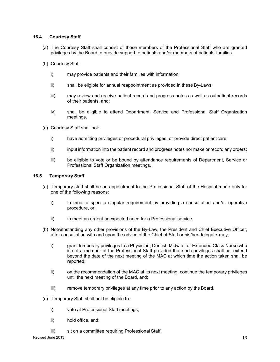#### **16.4 Courtesy Staff**

- (a) The Courtesy Staff shall consist of those members of the Professional Staff who are granted privileges by the Board to provide support to patients and/or members of patients' families.
- (b) Courtesy Staff:
	- i) may provide patients and their families with information;
	- ii) shall be eligible for annual reappointment as provided in these By-Laws;
	- iii) may review and receive patient record and progress notes as well as outpatient records of their patients, and;
	- iv) shall be eligible to attend Department, Service and Professional Staff Organization meetings.
- (c) Courtesy Staff shall not:
	- i) have admitting privileges or procedural privileges, or provide direct patient care;
	- ii) input information into the patient record and progress notes nor make or record any orders;
	- iii) be eligible to vote or be bound by attendance requirements of Department, Service or Professional Staff Organization meetings.

#### **16.5 Temporary Staff**

- (a) Temporary staff shall be an appointment to the Professional Staff of the Hospital made only for one of the following reasons:
	- i) to meet a specific singular requirement by providing a consultation and/or operative procedure, or;
	- ii) to meet an urgent unexpected need for a Professional service.
- (b) Notwithstanding any other provisions of the By-Law, the President and Chief Executive Officer, after consultation with and upon the advice of the Chief of Staff or his/her delegate, may;
	- i) grant temporary privileges to a Physician, Dentist, Midwife, or Extended Class Nurse who is not a member of the Professional Staff provided that such privileges shall not extend beyond the date of the next meeting of the MAC at which time the action taken shall be reported;
	- ii) on the recommendation of the MAC at its next meeting, continue the temporary privileges until the next meeting of the Board, and;
	- iii) remove temporary privileges at any time prior to any action by the Board.
- (c) Temporary Staff shall not be eligible to :
	- i) vote at Professional Staff meetings;
	- ii) hold office, and;
	- iii) sit on a committee requiring Professional Staff.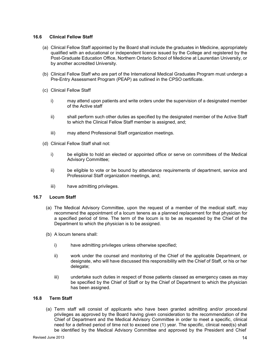#### **16.6 Clinical Fellow Staff**

- (a) Clinical Fellow Staff appointed by the Board shall include the graduates in Medicine, appropriately qualified with an educational or independent licence issued by the College and registered by the Post-Graduate Education Office, Northern Ontario School of Medicine at Laurentian University, or by another accredited University.
- (b) Clinical Fellow Staff who are part of the International Medical Graduates Program must undergo a Pre-Entry Assessment Program (PEAP) as outlined in the CPSO certificate.
- (c) Clinical Fellow Staff
	- i) may attend upon patients and write orders under the supervision of a designated member of the Active staff
	- ii) shall perform such other duties as specified by the designated member of the Active Staff to which the Clinical Fellow Staff member is assigned, and;
	- iii) may attend Professional Staff organization meetings.
- (d) Clinical Fellow Staff shall not:
	- i) be eligible to hold an elected or appointed office or serve on committees of the Medical Advisory Committee;
	- ii) be eligible to vote or be bound by attendance requirements of department, service and Professional Staff organization meetings, and;
	- iii) have admitting privileges.

#### **16.7 Locum Staff**

- (a) The Medical Advisory Committee, upon the request of a member of the medical staff, may recommend the appointment of a locum tenens as a planned replacement for that physician for a specified period of time. The term of the locum is to be as requested by the Chief of the Department to which the physician is to be assigned.
- (b) A locum tenens shall:
	- i) have admitting privileges unless otherwise specified;
	- ii) work under the counsel and monitoring of the Chief of the applicable Department, or designate, who will have discussed this responsibility with the Chief of Staff, or his or her delegate;
	- iii) undertake such duties in respect of those patients classed as emergency cases as may be specified by the Chief of Staff or by the Chief of Department to which the physician has been assigned.

#### **16.8 Term Staff**

(a) Term staff will consist of applicants who have been granted admitting and/or procedural privileges as approved by the Board having given consideration to the recommendation of the Chief of Department and the Medical Advisory Committee in order to meet a specific, clinical need for a defined period of time not to exceed one (1) year. The specific, clinical need(s) shall be identified by the Medical Advisory Committee and approved by the President and Chief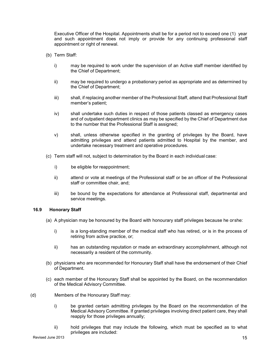Executive Officer of the Hospital. Appointments shall be for a period not to exceed one (1) year and such appointment does not imply or provide for any continuing professional staff appointment or right of renewal.

- (b) Term Staff:
	- i) may be required to work under the supervision of an Active staff member identified by the Chief of Department;
	- ii) may be required to undergo a probationary period as appropriate and as determined by the Chief of Department;
	- iii) shall, if replacing another member of the Professional Staff, attend that Professional Staff member's patient;
	- iv) shall undertake such duties in respect of those patients classed as emergency cases and of outpatient department clinics as may be specified by the Chief of Department due to the number that the Professional Staff is assigned;
	- v) shall, unless otherwise specified in the granting of privileges by the Board, have admitting privileges and attend patients admitted to Hospital by the member, and undertake necessary treatment and operative procedures.
- (c) Term staff will not, subject to determination by the Board in each individual case:
	- i) be eligible for reappointment;
	- ii) attend or vote at meetings of the Professional staff or be an officer of the Professional staff or committee chair, and;
	- iii) be bound by the expectations for attendance at Professional staff, departmental and service meetings.

#### **16.9 Honorary Staff**

- (a) A physician may be honoured by the Board with honourary staff privileges because he or she:
	- i) is a long-standing member of the medical staff who has retired, or is in the process of retiring from active practice, or;
	- ii) has an outstanding reputation or made an extraordinary accomplishment, although not necessarily a resident of the community.
- (b) physicians who are recommended for Honourary Staff shall have the endorsement of their Chief of Department.
- (c) each member of the Honourary Staff shall be appointed by the Board, on the recommendation of the Medical Advisory Committee.
- (d) Members of the Honourary Staff may:
	- i) be granted certain admitting privileges by the Board on the recommendation of the Medical Advisory Committee. If granted privileges involving direct patient care, they shall reapply for those privileges annually;
	- ii) hold privileges that may include the following, which must be specified as to what privileges are included: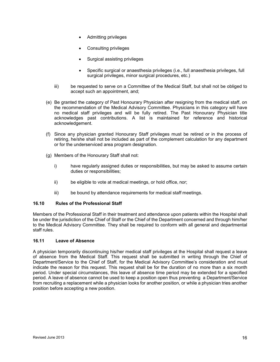- Admitting privileges
- Consulting privileges
- Surgical assisting privileges
- Specific surgical or anaesthesia privileges (i.e., full anaesthesia privileges, full surgical privileges, minor surgical procedures, etc.)
- iii) be requested to serve on a Committee of the Medical Staff, but shall not be obliged to accept such an appointment, and;
- (e) Be granted the category of Past Honourary Physician after resigning from the medical staff, on the recommendation of the Medical Advisory Committee. Physicians in this category will have no medical staff privileges and will be fully retired. The Past Honourary Physician title acknowledges past contributions. A list is maintained for reference and historical acknowledgement.
- (f) Since any physician granted Honourary Staff privileges must be retired or in the process of retiring, he/she shall not be included as part of the complement calculation for any department or for the underserviced area program designation.
- (g) Members of the Honourary Staff shall not:
	- i) have regularly assigned duties or responsibilities, but may be asked to assume certain duties or responsibilities;
	- ii) be eligible to vote at medical meetings, or hold office, nor;
	- iii) be bound by attendance requirements for medical staff meetings.

#### **16.10 Rules of the Professional Staff**

Members of the Professional Staff in their treatment and attendance upon patients within the Hospital shall be under the jurisdiction of the Chief of Staff or the Chief of the Department concerned and through him/her to the Medical Advisory Committee. They shall be required to conform with all general and departmental staff rules.

#### **16.11 Leave of Absence**

<span id="page-15-0"></span>A physician temporarily discontinuing his/her medical staff privileges at the Hospital shall request a leave of absence from the Medical Staff. This request shall be submitted in writing through the Chief of Department/Service to the Chief of Staff, for the Medical Advisory Committee's consideration and must indicate the reason for this request. This request shall be for the duration of no more than a six month period. Under special circumstances, this leave of absence time period may be extended for a specified period. A leave of absence cannot be used to keep a position open thus preventing a Department/Service from recruiting a replacement while a physician looks for another position, or while a physician tries another position before accepting a new position.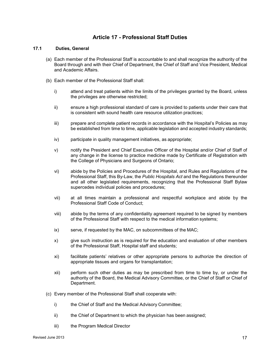# **Article 17 - Professional Staff Duties**

#### **17.1 Duties, General**

- (a) Each member of the Professional Staff is accountable to and shall recognize the authority of the Board through and with their Chief of Department, the Chief of Staff and Vice President, Medical and Academic Affairs.
- (b) Each member of the Professional Staff shall:
	- i) attend and treat patients within the limits of the privileges granted by the Board, unless the privileges are otherwise restricted;
	- ii) ensure a high professional standard of care is provided to patients under their care that is consistent with sound health care resource utilization practices;
	- iii) prepare and complete patient records in accordance with the Hospital's Policies as may be established from time to time, applicable legislation and accepted industry standards;
	- iv) participate in quality management initiatives, as appropriate;
	- v) notify the President and Chief Executive Officer of the Hospital and/or Chief of Staff of any change in the license to practice medicine made by Certificate of Registration with the College of Physicians and Surgeons of Ontario;
	- vi) abide by the Policies and Procedures of the Hospital, and Rules and Regulations of the Professional Staff, this By-Law, the *Public Hospitals Act* and the Regulations thereunder and all other legislated requirements, recognizing that the Professional Staff Bylaw supercedes individual policies and procedures;
	- vii) at all times maintain a professional and respectful workplace and abide by the Professional Staff Code of Conduct;
	- viii) abide by the terms of any confidentiality agreement required to be signed by members of the Professional Staff with respect to the medical information systems;
	- ix) serve, if requested by the MAC, on subcommittees of the MAC;
	- x) give such instruction as is required for the education and evaluation of other members of the Professional Staff, Hospital staff and students;
	- xi) facilitate patients' relatives or other appropriate persons to authorize the direction of appropriate tissues and organs for transplantation;
	- xii) perform such other duties as may be prescribed from time to time by, or under the authority of the Board, the Medical Advisory Committee, or the Chief of Staff or Chief of Department.
- (c) Every member of the Professional Staff shall cooperate with:
	- i) the Chief of Staff and the Medical Advisory Committee;
	- ii) the Chief of Department to which the physician has been assigned;
	- iii) the Program Medical Director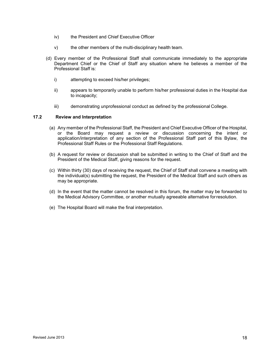- iv) the President and Chief Executive Officer
- v) the other members of the multi-disciplinary health team.
- (d) Every member of the Professional Staff shall communicate immediately to the appropriate Department Chief or the Chief of Staff any situation where he believes a member of the Professional Staff is:
	- i) attempting to exceed his/her privileges;
	- ii) appears to temporarily unable to perform his/her professional duties in the Hospital due to incapacity;
	- iii) demonstrating unprofessional conduct as defined by the professional College.

#### **17.2 Review and Interpretation**

- (a) Any member of the Professional Staff, the President and Chief Executive Officer of the Hospital, or the Board may request a review or discussion concerning the intent or application/interpretation of any section of the Professional Staff part of this Bylaw, the Professional Staff Rules or the Professional Staff Regulations.
- (b) A request for review or discussion shall be submitted in writing to the Chief of Staff and the President of the Medical Staff, giving reasons for the request.
- (c) Within thirty (30) days of receiving the request, the Chief of Staff shall convene a meeting with the individual(s) submitting the request, the President of the Medical Staff and such others as may be appropriate.
- (d) In the event that the matter cannot be resolved in this forum, the matter may be forwarded to the Medical Advisory Committee, or another mutually agreeable alternative for resolution.
- <span id="page-17-0"></span>(e) The Hospital Board will make the final interpretation.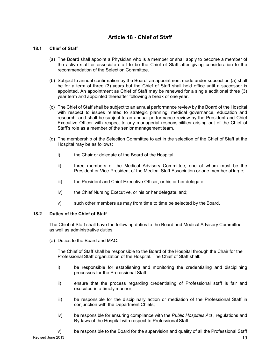# **Article 18 - Chief of Staff**

#### **18.1 Chief of Staff**

- (a) The Board shall appoint a Physician who is a member or shall apply to become a member of the active staff or associate staff to be the Chief of Staff after giving consideration to the recommendation of the Selection Committee.
- (b) Subject to annual confirmation by the Board, an appointment made under subsection (a) shall be for a term of three (3) years but the Chief of Staff shall hold office until a successor is appointed. An appointment as Chief of Staff may be renewed for a single additional three (3) year term and appointed thereafter following a break of one year.
- (c) The Chief of Staff shall be subject to an annual performance review by the Board of the Hospital with respect to issues related to strategic planning, medical governance, education and research; and shall be subject to an annual performance review by the President and Chief Executive Officer with respect to any managerial responsibilities arising out of the Chief of Staff's role as a member of the senior management team.
- (d) The membership of the Selection Committee to act in the selection of the Chief of Staff at the Hospital may be as follows:
	- i) the Chair or delegate of the Board of the Hospital;
	- ii) three members of the Medical Advisory Committee, one of whom must be the President or Vice-President of the Medical Staff Association or one member at large;
	- iii) the President and Chief Executive Officer, or his or her delegate;
	- iv) the Chief Nursing Executive, or his or her delegate, and;
	- v) such other members as may from time to time be selected by the Board.

#### **18.2 Duties of the Chief of Staff**

The Chief of Staff shall have the following duties to the Board and Medical Advisory Committee as well as administrative duties.

(a) Duties to the Board and MAC:

The Chief of Staff shall be responsible to the Board of the Hospital through the Chair for the Professional Staff organization of the Hospital. The Chief of Staff shall:

- i) be responsible for establishing and monitoring the credentialing and disciplining processes for the Professional Staff;
- ii) ensure that the process regarding credentialing of Professional staff is fair and executed in a timely manner;
- iii) be responsible for the disciplinary action or mediation of the Professional Staff in conjunction with the Department Chiefs;
- iv) be responsible for ensuring compliance with the *Public Hospitals Act* , regulations and By-laws of the Hospital with respect to Professional Staff;
- v) be responsible to the Board for the supervision and quality of all the Professional Staff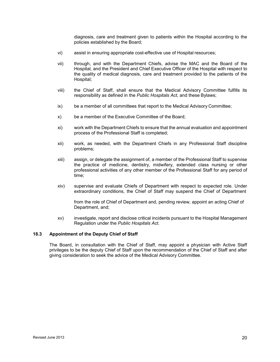diagnosis, care and treatment given to patients within the Hospital according to the policies established by the Board;

- vi) assist in ensuring appropriate cost-effective use of Hospital resources;
- vii) through, and with the Department Chiefs, advise the MAC and the Board of the Hospital, and the President and Chief Executive Officer of the Hospital with respect to the quality of medical diagnosis, care and treatment provided to the patients of the Hospital;
- viii) the Chief of Staff, shall ensure that the Medical Advisory Committee fulfills its responsibility as defined in the *Public Hospitals Act*, and these Bylaws;
- ix) be a member of all committees that report to the Medical Advisory Committee;
- x) be a member of the Executive Committee of the Board;
- xi) work with the Department Chiefs to ensure that the annual evaluation and appointment process of the Professional Staff is completed;
- xii) work, as needed, with the Department Chiefs in any Professional Staff discipline problems;
- xiii) assign, or delegate the assignment of, a member of the Professional Staff to supervise the practice of medicine, dentistry, midwifery, extended class nursing or other professional activities of any other member of the Professional Staff for any period of time;
- xiv) supervise and evaluate Chiefs of Department with respect to expected role. Under extraordinary conditions, the Chief of Staff may suspend the Chief of Department

from the role of Chief of Department and, pending review, appoint an acting Chief of Department, and;

xv) investigate, report and disclose critical incidents pursuant to the Hospital Management Regulation under the *Public Hospitals Act*.

#### **18.3 Appointment of the Deputy Chief of Staff**

The Board, in consultation with the Chief of Staff, may appoint a physician with Active Staff privileges to be the deputy Chief of Staff upon the recommendation of the Chief of Staff and after giving consideration to seek the advice of the Medical Advisory Committee.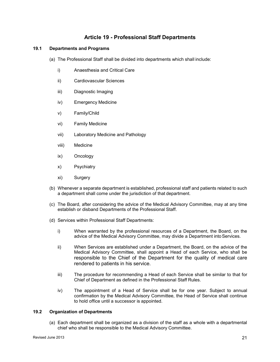# **Article 19 - Professional Staff Departments**

#### <span id="page-20-0"></span>**19.1 Departments and Programs**

- (a) The Professional Staff shall be divided into departments which shall include:
	- i) Anaesthesia and Critical Care
	- ii) Cardiovascular Sciences
	- iii) Diagnostic Imaging
	- iv) Emergency Medicine
	- v) Family/Child
	- vi) Family Medicine
	- vii) Laboratory Medicine and Pathology
	- viii) Medicine
	- ix) Oncology
	- x) Psychiatry
	- xi) Surgery
- (b) Whenever a separate department is established, professional staff and patients related to such a department shall come under the jurisdiction of that department.
- (c) The Board, after considering the advice of the Medical Advisory Committee, may at any time establish or disband Departments of the Professional Staff.
- (d) Services within Professional Staff Departments:
	- i) When warranted by the professional resources of a Department, the Board, on the advice of the Medical Advisory Committee, may divide a Department into Services.
	- ii) When Services are established under a Department, the Board, on the advice of the Medical Advisory Committee, shall appoint a Head of each Service, who shall be responsible to the Chief of the Department for the quality of medical care rendered to patients in his service.
	- iii) The procedure for recommending a Head of each Service shall be similar to that for Chief of Department as defined in the Professional Staff Rules.
	- iv) The appointment of a Head of Service shall be for one year. Subject to annual confirmation by the Medical Advisory Committee, the Head of Service shall continue to hold office until a successor is appointed.

#### <span id="page-20-1"></span>**19.2 Organization of Departments**

(a) Each department shall be organized as a division of the staff as a whole with a departmental chief who shall be responsible to the Medical Advisory Committee.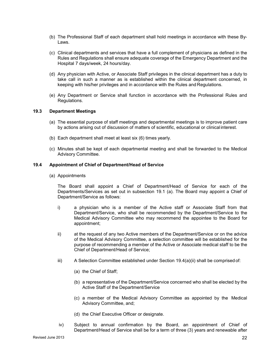- (b) The Professional Staff of each department shall hold meetings in accordance with these By-Laws.
- (c) Clinical departments and services that have a full complement of physicians as defined in the Rules and Regulations shall ensure adequate coverage of the Emergency Department and the Hospital 7 days/week, 24 hours/day.
- (d) Any physician with Active, or Associate Staff privileges in the clinical department has a duty to take call in such a manner as is established within the clinical department concerned, in keeping with his/her privileges and in accordance with the Rules and Regulations.
- (e) Any Department or Service shall function in accordance with the Professional Rules and Regulations.

#### **19.3 Department Meetings**

- (a) The essential purpose of staff meetings and departmental meetings is to improve patient care by actions arising out of discussion of matters of scientific, educational or clinical interest.
- (b) Each department shall meet at least six (6) times yearly.
- (c) Minutes shall be kept of each departmental meeting and shall be forwarded to the Medical Advisory Committee.

#### **19.4 Appointment of Chief of Department/Head of Service**

(a) Appointments

The Board shall appoint a Chief of Department/Head of Service for each of the Departments/Services as set out in subsection 19.1 (a). The Board may appoint a Chief of Department/Service as follows:

- i) a physician who is a member of the Active staff or Associate Staff from that Department/Service, who shall be recommended by the Department/Service to the Medical Advisory Committee who may recommend the appointee to the Board for appointment;
- ii) at the request of any two Active members of the Department/Service or on the advice of the Medical Advisory Committee, a selection committee will be established for the purpose of recommending a member of the Active or Associate medical staff to be the Chief of Department/Head of Service;
- iii) A Selection Committee established under Section  $19.4(a)(ii)$  shall be comprised of:
	- (a) the Chief of Staff;
	- (b) a representative of the Department/Service concerned who shall be elected by the Active Staff of the Department/Service
	- (c) a member of the Medical Advisory Committee as appointed by the Medical Advisory Committee, and;
	- (d) the Chief Executive Officer or designate.
- iv) Subject to annual confirmation by the Board, an appointment of Chief of Department/Head of Service shall be for a term of three (3) years and renewable after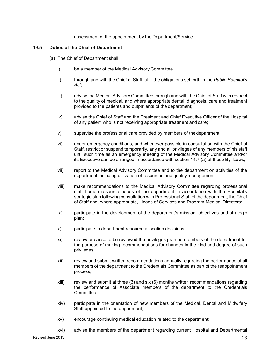#### assessment of the appointment by the Department/Service.

#### **19.5 Duties of the Chief of Department**

- (a) The Chief of Department shall:
	- i) be a member of the Medical Advisory Committee
	- ii) through and with the Chief of Staff fulfill the obligations set forth in the *Public Hospital's Act*;
	- iii) advise the Medical Advisory Committee through and with the Chief of Staff with respect to the quality of medical, and where appropriate dental, diagnosis, care and treatment provided to the patients and outpatients of the department;
	- iv) advise the Chief of Staff and the President and Chief Executive Officer of the Hospital of any patient who is not receiving appropriate treatment and care;
	- v) supervise the professional care provided by members of the department;
	- vi) under emergency conditions, and whenever possible in consultation with the Chief of Staff, restrict or suspend temporarily, any and all privileges of any members of his staff until such time as an emergency meeting of the Medical Advisory Committee and/or its Executive can be arranged in accordance with section 14.7 (a) of these By- Laws;
	- vii) report to the Medical Advisory Committee and to the department on activities of the department including utilization of resources and quality management;
	- viii) make recommendations to the Medical Advisory Committee regarding professional staff human resource needs of the department in accordance with the Hospital's strategic plan following consultation with Professional Staff of the department, the Chief of Staff and, where appropriate, Heads of Services and Program Medical Directors;
	- ix) participate in the development of the department's mission, objectives and strategic plan;
	- x) participate in department resource allocation decisions;
	- xi) review or cause to be reviewed the privileges granted members of the department for the purpose of making recommendations for changes in the kind and degree of such privileges;
	- xii) review and submit written recommendations annually regarding the performance of all members of the department to the Credentials Committee as part of the reappointment process;
	- xiii) review and submit at three (3) and six (6) months written recommendations regarding the performance of Associate members of the department to the Credentials **Committee**
	- xiv) participate in the orientation of new members of the Medical, Dental and Midwifery Staff appointed to the department;
	- xv) encourage continuing medical education related to the department;
	- xvi) advise the members of the department regarding current Hospital and Departmental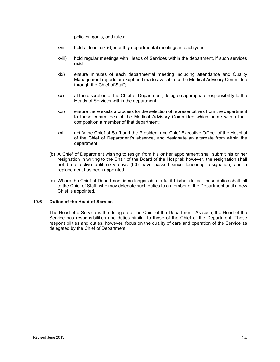policies, goals, and rules;

- xvii) hold at least six (6) monthly departmental meetings in each year;
- xviii) hold regular meetings with Heads of Services within the department, if such services exist;
- xix) ensure minutes of each departmental meeting including attendance and Quality Management reports are kept and made available to the Medical Advisory Committee through the Chief of Staff;
- xx) at the discretion of the Chief of Department, delegate appropriate responsibility to the Heads of Services within the department;
- xxi) ensure there exists a process for the selection of representatives from the department to those committees of the Medical Advisory Committee which name within their composition a member of that department;
- xxii) notify the Chief of Staff and the President and Chief Executive Officer of the Hospital of the Chief of Department's absence, and designate an alternate from within the department.
- (b) A Chief of Department wishing to resign from his or her appointment shall submit his or her resignation in writing to the Chair of the Board of the Hospital; however, the resignation shall not be effective until sixty days (60) have passed since tendering resignation, and a replacement has been appointed.
- (c) Where the Chief of Department is no longer able to fulfill his/her duties, these duties shall fall to the Chief of Staff, who may delegate such duties to a member of the Department until a new Chief is appointed.

#### **19.6 Duties of the Head of Service**

The Head of a Service is the delegate of the Chief of the Department. As such, the Head of the Service has responsibilities and duties similar to those of the Chief of the Department. These responsibilities and duties, however, focus on the quality of care and operation of the Service as delegated by the Chief of Department.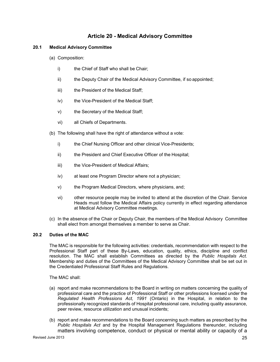# **Article 20 - Medical Advisory Committee**

#### <span id="page-24-0"></span>**20.1 Medical Advisory Committee**

- (a) Composition:
	- i) the Chief of Staff who shall be Chair:
	- ii) the Deputy Chair of the Medical Advisory Committee, if so appointed;
	- iii) the President of the Medical Staff;
	- iv) the Vice-President of the Medical Staff;
	- v) the Secretary of the Medical Staff;
	- vi) all Chiefs of Departments.
- (b) The following shall have the right of attendance without a vote:
	- i) the Chief Nursing Officer and other clinical Vice-Presidents;
	- ii) the President and Chief Executive Officer of the Hospital;
	- iii) the Vice-President of Medical Affairs;
	- iv) at least one Program Director where not a physician;
	- v) the Program Medical Directors, where physicians, and;
	- vi) other resource people may be invited to attend at the discretion of the Chair. Service Heads must follow the Medical Affairs policy currently in effect regarding attendance at Medical Advisory Committee meetings.
- (c) In the absence of the Chair or Deputy Chair, the members of the Medical Advisory Committee shall elect from amongst themselves a member to serve as Chair.

#### **20.2 Duties of the MAC**

The MAC is responsible for the following activities: credentials, recommendation with respect to the Professional Staff part of these By-Laws, education, quality, ethics, discipline and conflict resolution. The MAC shall establish Committees as directed by the *Public Hospitals Act.*  Membership and duties of the Committees of the Medical Advisory Committee shall be set out in the Credentialed Professional Staff Rules and Regulations.

The MAC shall:

- (a) report and make recommendations to the Board in writing on matters concerning the quality of professional care and the practice of Professional Staff or other professions licensed under the *Regulated Health Professions Act, 1991* (Ontario) in the Hospital, in relation to the professionally recognized standards of Hospital professional care, including quality assurance, peer review, resource utilization and unusual incidents;
- (b) report and make recommendations to the Board concerning such matters as prescribed by the *Public Hospitals Act* and by the Hospital Management Regulations thereunder, including matters involving competence, conduct or physical or mental ability or capacity of a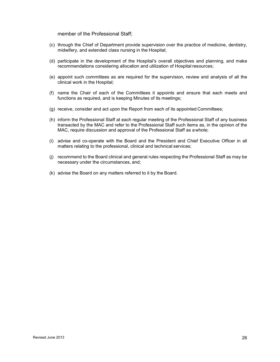member of the Professional Staff;

- (c) through the Chief of Department provide supervision over the practice of medicine, dentistry, midwifery, and extended class nursing in the Hospital;
- (d) participate in the development of the Hospital's overall objectives and planning, and make recommendations considering allocation and utilization of Hospital resources;
- (e) appoint such committees as are required for the supervision, review and analysis of all the clinical work in the Hospital;
- (f) name the Chair of each of the Committees it appoints and ensure that each meets and functions as required, and is keeping Minutes of its meetings;
- (g) receive, consider and act upon the Report from each of its appointed Committees;
- (h) inform the Professional Staff at each regular meeting of the Professional Staff of any business transacted by the MAC and refer to the Professional Staff such items as, in the opinion of the MAC, require discussion and approval of the Professional Staff as a whole;
- (i) advise and co-operate with the Board and the President and Chief Executive Officer in all matters relating to the professional, clinical and technical services;
- (j) recommend to the Board clinical and general rules respecting the Professional Staff as may be necessary under the circumstances, and;
- <span id="page-25-0"></span>(k) advise the Board on any matters referred to it by the Board.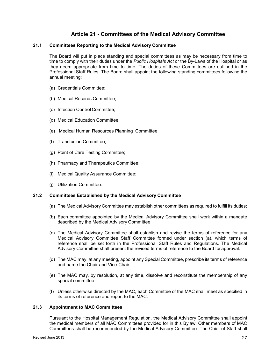# **Article 21 - Committees of the Medical Advisory Committee**

#### **21.1 Committees Reporting to the Medical Advisory Committee**

The Board will put in place standing and special committees as may be necessary from time to time to comply with their duties under the *Public Hospitals Act* or the By-Laws of the Hospital or as they deem appropriate from time to time. The duties of these Committees are outlined in the Professional Staff Rules. The Board shall appoint the following standing committees following the annual meeting:

- (a) Credentials Committee;
- (b) Medical Records Committee;
- (c) Infection Control Committee;
- (d) Medical Education Committee;
- (e) Medical Human Resources Planning Committee
- (f) Transfusion Committee;
- (g) Point of Care Testing Committee;
- (h) Pharmacy and Therapeutics Committee;
- (i) Medical Quality Assurance Committee;
- (j) Utilization Committee.

#### **21.2 Committees Established by the Medical Advisory Committee**

- (a) The Medical Advisory Committee may establish other committees as required to fulfill its duties;
- (b) Each committee appointed by the Medical Advisory Committee shall work within a mandate described by the Medical Advisory Committee.
- (c) The Medical Advisory Committee shall establish and revise the terms of reference for any Medical Advisory Committee Staff Committee formed under section [\(a\),](#page-20-1) which terms of reference shall be set forth in the Professional Staff Rules and Regulations. The Medical Advisory Committee shall present the revised terms of reference to the Board for approval.
- (d) The MAC may, at any meeting, appoint any Special Committee, prescribe its terms of reference and name the Chair and Vice-Chair.
- (e) The MAC may, by resolution, at any time, dissolve and reconstitute the membership of any special committee.
- (f) Unless otherwise directed by the MAC, each Committee of the MAC shall meet as specified in its terms of reference and report to the MAC.

#### **21.3 Appointment to MAC Committees**

Pursuant to the Hospital Management Regulation, the Medical Advisory Committee shall appoint the medical members of all MAC Committees provided for in this Bylaw. Other members of MAC Committees shall be recommended by the Medical Advisory Committee. The Chief of Staff shall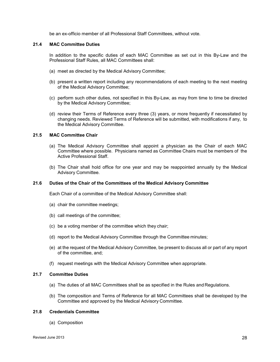be an ex-officio member of all Professional Staff Committees, without vote.

#### **21.4 MAC Committee Duties**

In addition to the specific duties of each MAC Committee as set out in this By-Law and the Professional Staff Rules, all MAC Committees shall:

- (a) meet as directed by the Medical Advisory Committee;
- (b) present a written report including any recommendations of each meeting to the next meeting of the Medical Advisory Committee;
- (c) perform such other duties, not specified in this By-Law, as may from time to time be directed by the Medical Advisory Committee;
- (d) review their Terms of Reference every three (3) years, or more frequently if necessitated by changing needs. Reviewed Terms of Reference will be submitted, with modifications if any, to the Medical Advisory Committee.

#### **21.5 MAC Committee Chair**

- (a) The Medical Advisory Committee shall appoint a physician as the Chair of each MAC Committee where possible. Physicians named as Committee Chairs must be members of the Active Professional Staff.
- (b) The Chair shall hold office for one year and may be reappointed annually by the Medical Advisory Committee.

#### **21.6 Duties of the Chair of the Committees of the Medical Advisory Committee**

Each Chair of a committee of the Medical Advisory Committee shall:

- (a) chair the committee meetings;
- (b) call meetings of the committee;
- (c) be a voting member of the committee which they chair;
- (d) report to the Medical Advisory Committee through the Committee minutes;
- (e) at the request of the Medical Advisory Committee, be present to discuss all or part of any report of the committee, and;
- (f) request meetings with the Medical Advisory Committee when appropriate.

#### **21.7 Committee Duties**

- (a) The duties of all MAC Committees shall be as specified in the Rules and Regulations.
- (b) The composition and Terms of Reference for all MAC Committees shall be developed by the Committee and approved by the Medical Advisory Committee.

#### **21.8 Credentials Committee**

(a) Composition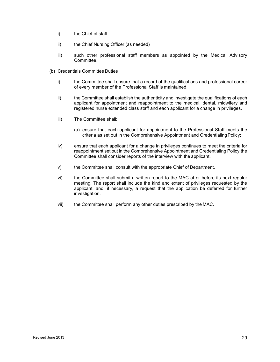- i) the Chief of staff;
- ii) the Chief Nursing Officer (as needed)
- iii) such other professional staff members as appointed by the Medical Advisory Committee.
- <span id="page-28-0"></span>(b) Credentials Committee Duties
	- i) the Committee shall ensure that a record of the qualifications and professional career of every member of the Professional Staff is maintained.
	- ii) the Committee shall establish the authenticity and investigate the qualifications of each applicant for appointment and reappointment to the medical, dental, midwifery and registered nurse extended class staff and each applicant for a change in privileges.
	- iii) The Committee shall:
		- (a) ensure that each applicant for appointment to the Professional Staff meets the criteria as set out in the Comprehensive Appointment and Credentialing Policy;
	- iv) ensure that each applicant for a change in privileges continues to meet the criteria for reappointment set out in the Comprehensive Appointment and Credentialing Policy.the Committee shall consider reports of the interview with the applicant.
	- v) the Committee shall consult with the appropriate Chief of Department.
	- vi) the Committee shall submit a written report to the MAC at or before its next regular meeting. The report shall include the kind and extent of privileges requested by the applicant, and, if necessary, a request that the application be deferred for further investigation.
	- vii) the Committee shall perform any other duties prescribed by the MAC.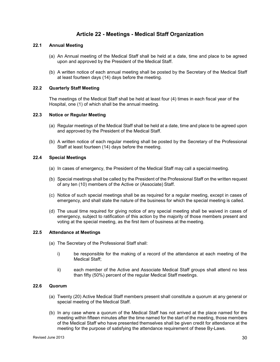# **Article 22 - Meetings - Medical Staff Organization**

#### **22.1 Annual Meeting**

- (a) An Annual meeting of the Medical Staff shall be held at a date, time and place to be agreed upon and approved by the President of the Medical Staff.
- (b) A written notice of each annual meeting shall be posted by the Secretary of the Medical Staff at least fourteen days (14) days before the meeting.

#### **22.2 Quarterly Staff Meeting**

The meetings of the Medical Staff shall be held at least four (4) times in each fiscal year of the Hospital, one (1) of which shall be the annual meeting.

#### **22.3 Notice or Regular Meeting**

- (a) Regular meetings of the Medical Staff shall be held at a date, time and place to be agreed upon and approved by the President of the Medical Staff.
- (b) A written notice of each regular meeting shall be posted by the Secretary of the Professional Staff at least fourteen (14) days before the meeting.

#### **22.4 Special Meetings**

- (a) In cases of emergency, the President of the Medical Staff may call a special meeting.
- (b) Special meetings shall be called by the President of the Professional Staff on the written request of any ten (10) members of the Active or (Associate) Staff.
- (c) Notice of such special meetings shall be as required for a regular meeting, except in cases of emergency, and shall state the nature of the business for which the special meeting is called.
- (d) The usual time required for giving notice of any special meeting shall be waived in cases of emergency, subject to ratification of this action by the majority of those members present and voting at the special meeting, as the first item of business at the meeting.

#### **22.5 Attendance at Meetings**

- (a) The Secretary of the Professional Staff shall:
	- i) be responsible for the making of a record of the attendance at each meeting of the Medical Staff;
	- ii) each member of the Active and Associate Medical Staff groups shall attend no less than fifty (50%) percent of the regular Medical Staff meetings.

#### **22.6 Quorum**

- (a) Twenty (20) Active Medical Staff members present shall constitute a quorum at any general or special meeting of the Medical Staff.
- (b) In any case where a quorum of the Medical Staff has not arrived at the place named for the meeting within fifteen minutes after the time named for the start of the meeting, those members of the Medical Staff who have presented themselves shall be given credit for attendance at the meeting for the purpose of satisfying the attendance requirement of these By-Laws.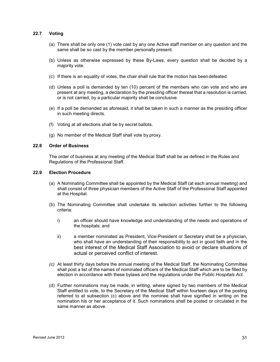#### **22.7 Voting**

- (a) There shall be only one (1) vote cast by any one Active staff member on any question and the same shall be so cast by the member personally present.
- (b) Unless as otherwise expressed by these By-Laws, every question shall be decided by a majority vote.
- (c) If there is an equality of votes, the chair shall rule that the motion has been defeated.
- (d) Unless a poll is demanded by ten (10) percent of the members who can vote and who are present at any meeting, a declaration by the presiding officer thereat that a resolution is carried, or is not carried, by a particular majority shall be conclusive.
- (e) If a poll be demanded as aforesaid, it shall be taken in such a manner as the presiding officer in such meeting directs.
- (f) Voting at all elections shall be by secret ballots.
- (g) No member of the Medical Staff shall vote by proxy.

#### **22.8 Order of Business**

The order of business at any meeting of the Medical Staff shall be as defined in the Rules and Regulations of the Professional Staff.

#### **22.9 Election Procedure**

- (a) A Nominating Committee shall be appointed by the Medical Staff (at each annual meeting) and shall consist of three physician members of the Active Staff of the Professional Staff appointed at the Hospital.
- (b) The Nominating Committee shall undertake its selection activities further to the following criteria:
	- i) an officer should have knowledge and understanding of the needs and operations of the hospitals; and
	- ii) a member nominated as President, Vice-President or Secretary shall be a physician, who shall have an understanding of their responsibility to act in good faith and in the best interest of the Medical Staff Association to avoid or declare situations of actual or perceived conflict of interest.
- *(c)* At least thirty days before the annual meeting of the Medical Staff, the Nominating Committee shall post a list of the names of nominated officers of the Medical Staff which are to be filled by election in accordance with these bylaws and the regulations under the *Public Hospitals Act.*
- <span id="page-30-0"></span>(d) Further nominations may be made, in writing, where signed by two members of the Medical Staff entitled to vote, to the Secretary of the Medical Staff within fourteen days of the posting referred to at subsection (c) above and the nominee shall have signified in writing on the nomination his or her acceptance of it. Such nominations shall be posted or circulated in the same manner as above.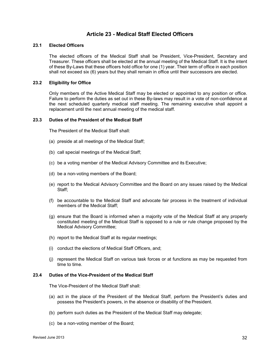# **Article 23 - Medical Staff Elected Officers**

#### **23.1 Elected Officers**

The elected officers of the Medical Staff shall be President, Vice-President, Secretary and Treasurer. These officers shall be elected at the annual meeting of the Medical Staff. It is the intent of these By-Laws that these officers hold office for one (1) year. Their term of office in each position shall not exceed six (6) years but they shall remain in office until their successors are elected.

#### **23.2 Eligibility for Office**

Only members of the Active Medical Staff may be elected or appointed to any position or office. Failure to perform the duties as set out in these By-laws may result in a vote of non-confidence at the next scheduled quarterly medical staff meeting. The remaining executive shall appoint a replacement until the next annual meeting of the medical staff.

#### **23.3 Duties of the President of the Medical Staff**

The President of the Medical Staff shall:

- (a) preside at all meetings of the Medical Staff;
- (b) call special meetings of the Medical Staff;
- (c) be a voting member of the Medical Advisory Committee and its Executive;
- (d) be a non-voting members of the Board;
- (e) report to the Medical Advisory Committee and the Board on any issues raised by the Medical Staff;
- (f) be accountable to the Medical Staff and advocate fair process in the treatment of individual members of the Medical Staff;
- (g) ensure that the Board is informed when a majority vote of the Medical Staff at any properly constituted meeting of the Medical Staff is opposed to a rule or rule change proposed by the Medical Advisory Committee;
- (h) report to the Medical Staff at its regular meetings;
- (i) conduct the elections of Medical Staff Officers, and;
- (j) represent the Medical Staff on various task forces or at functions as may be requested from time to time.

#### **23.4 Duties of the Vice-President of the Medical Staff**

The Vice-President of the Medical Staff shall:

- (a) act in the place of the President of the Medical Staff, perform the President's duties and possess the President's powers, in the absence or disability of the President.
- (b) perform such duties as the President of the Medical Staff may delegate;
- (c) be a non-voting member of the Board;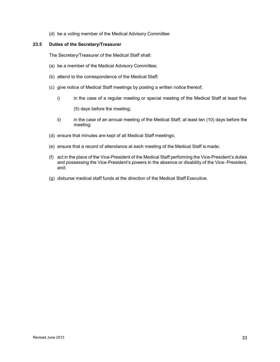(d) be a voting member of the Medical Advisory Committee

#### **23.5 Duties of the Secretary/Treasurer**

The Secretary/Treasurer of the Medical Staff shall:

- (a) be a member of the Medical Advisory Committee;
- (b) attend to the correspondence of the Medical Staff;
- (c) give notice of Medical Staff meetings by posting a written notice thereof;
	- i) in the case of a regular meeting or special meeting of the Medical Staff at least five

(5) days before the meeting;

- ii) in the case of an annual meeting of the Medical Staff, at least ten (10) days before the meeting;
- (d) ensure that minutes are kept of all Medical Staff meetings;
- (e) ensure that a record of attendance at each meeting of the Medical Staff is made;
- (f) act in the place of the Vice-President of the Medical Staff performing the Vice-President's duties and possessing the Vice-President's powers in the absence or disability of the Vice- President, and;
- <span id="page-32-0"></span>(g) disburse medical staff funds at the direction of the Medical Staff Executive.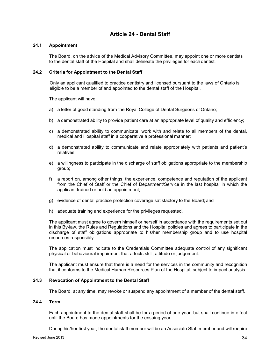# **Article 24 - Dental Staff**

#### **24.1 Appointment**

The Board, on the advice of the Medical Advisory Committee, may appoint one or more dentists to the dental staff of the Hospital and shall delineate the privileges for each dentist.

#### **24.2 Criteria for Appointment to the Dental Staff**

Only an applicant qualified to practice dentistry and licensed pursuant to the laws of Ontario is eligible to be a member of and appointed to the dental staff of the Hospital.

The applicant will have:

- a) a letter of good standing from the Royal College of Dental Surgeons of Ontario;
- b) a demonstrated ability to provide patient care at an appropriate level of quality and efficiency;
- c) a demonstrated ability to communicate, work with and relate to all members of the dental, medical and Hospital staff in a cooperative a professional manner;
- d) a demonstrated ability to communicate and relate appropriately with patients and patient's relatives;
- e) a willingness to participate in the discharge of staff obligations appropriate to the membership group;
- f) a report on, among other things, the experience, competence and reputation of the applicant from the Chief of Staff or the Chief of Department/Service in the last hospital in which the applicant trained or held an appointment;
- g) evidence of dental practice protection coverage satisfactory to the Board; and
- h) adequate training and experience for the privileges requested.

The applicant must agree to govern himself or herself in accordance with the requirements set out in this By-law, the Rules and Regulations and the Hospital policies and agrees to participate in the discharge of staff obligations appropriate to his/her membership group and to use hospital resources responsibly.

The application must indicate to the Credentials Committee adequate control of any significant physical or behavioural impairment that affects skill, attitude or judgement.

The applicant must ensure that there is a need for the services in the community and recognition that it conforms to the Medical Human Resources Plan of the Hospital, subject to impact analysis.

#### **24.3 Revocation of Appointment to the Dental Staff**

The Board, at any time, may revoke or suspend any appointment of a member of the dental staff.

#### **24.4 Term**

Each appointment to the dental staff shall be for a period of one year, but shall continue in effect until the Board has made appointments for the ensuing year.

During his/her first year, the dental staff member will be an Associate Staff member and will require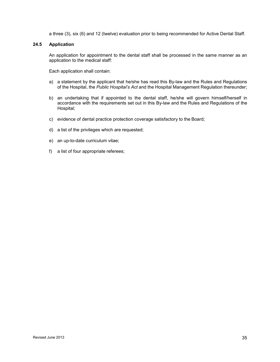a three (3), six (6) and 12 (twelve) evaluation prior to being recommended for Active Dental Staff.

#### **24.5 Application**

An application for appointment to the dental staff shall be processed in the same manner as an application to the medical staff:

Each application shall contain:

- a) a statement by the applicant that he/she has read this By-law and the Rules and Regulations of the Hospital, the *Public Hospital's Act* and the Hospital Management Regulation thereunder;
- b) an undertaking that if appointed to the dental staff, he/she will govern himself/herself in accordance with the requirements set out in this By-law and the Rules and Regulations of the Hospital;
- c) evidence of dental practice protection coverage satisfactory to the Board;
- d) a list of the privileges which are requested;
- e) an up-to-date curriculum vitae;
- <span id="page-34-0"></span>f) a list of four appropriate referees;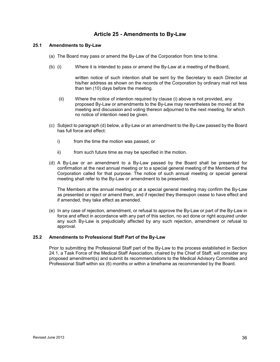# **Article 25 - Amendments to By-Law**

#### **25.1 Amendments to By-Law**

- (a) The Board may pass or amend the By-Law of the Corporation from time to time.
- (b) (i) Where it is intended to pass or amend the By-Law at a meeting of the Board,

written notice of such intention shall be sent by the Secretary to each Director at his/her address as shown on the records of the Corporation by ordinary mail not less than ten (10) days before the meeting.

- (ii) Where the notice of intention required by clause (i) above is not provided, any proposed By-Law or amendments to the By-Law may nevertheless be moved at the meeting and discussion and voting thereon adjourned to the next meeting, for which no notice of intention need be given.
- (c) Subject to paragraph (d) below, a By-Law or an amendment to the By-Law passed by the Board has full force and effect:
	- i) from the time the motion was passed, or
	- ii) from such future time as may be specified in the motion.
- (d) A By-Law or an amendment to a By-Law passed by the Board shall be presented for confirmation at the next annual meeting or to a special general meeting of the Members of the Corporation called for that purpose. The notice of such annual meeting or special general meeting shall refer to the By-Law or amendment to be presented.

The Members at the annual meeting or at a special general meeting may confirm the By-Law as presented or reject or amend them, and if rejected they thereupon cease to have effect and if amended, they take effect as amended.

(e) In any case of rejection, amendment, or refusal to approve the By-Law or part of the By-Law in force and effect in accordance with any part of this section, no act done or right acquired under any such By-Law is prejudicially affected by any such rejection, amendment or refusal to approval.

#### **25.2 Amendments to Professional Staff Part of the By-Law**

<span id="page-35-0"></span>Prior to submitting the Professional Staff part of the By-Law to the process established in Section 24.1, a Task Force of the Medical Staff Association, chaired by the Chief of Staff, will consider any proposed amendment(s) and submit its recommendations to the Medical Advisory Committee and Professional Staff within six (6) months or within a timeframe as recommended by the Board.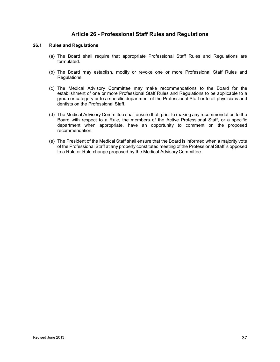## **Article 26 - Professional Staff Rules and Regulations**

#### **26.1 Rules and Regulations**

- (a) The Board shall require that appropriate Professional Staff Rules and Regulations are formulated.
- (b) The Board may establish, modify or revoke one or more Professional Staff Rules and Regulations.
- (c) The Medical Advisory Committee may make recommendations to the Board for the establishment of one or more Professional Staff Rules and Regulations to be applicable to a group or category or to a specific department of the Professional Staff or to all physicians and dentists on the Professional Staff.
- (d) The Medical Advisory Committee shall ensure that, prior to making any recommendation to the Board with respect to a Rule, the members of the Active Professional Staff, or a specific department when appropriate, have an opportunity to comment on the proposed recommendation.
- <span id="page-36-0"></span>(e) The President of the Medical Staff shall ensure that the Board is informed when a majority vote of the Professional Staff at any properly constituted meeting of the Professional Staff is opposed to a Rule or Rule change proposed by the Medical Advisory Committee.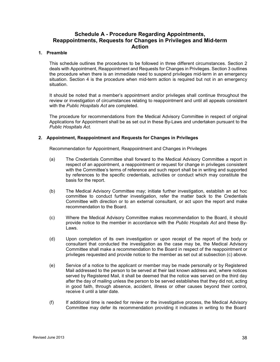# **Schedule A - Procedure Regarding Appointments, Reappointments, Requests for Changes in Privileges and Mid-term Action**

#### **1. Preamble**

This schedule outlines the procedures to be followed in three different circumstances. Section 2 deals with Appointment, Reappointment and Requests for Changes in Privileges. Section 3 outlines the procedure when there is an immediate need to suspend privileges mid-term in an emergency situation. Section 4 is the procedure when mid-term action is required but not in an emergency situation.

It should be noted that a member's appointment and/or privileges shall continue throughout the review or investigation of circumstances relating to reappointment and until all appeals consistent with the *Public Hospitals Act* are completed.

The procedure for recommendations from the Medical Advisory Committee in respect of original Applications for Appointment shall be as set out in these By-Laws and undertaken pursuant to the *Public Hospitals Act.* 

#### **2. Appointment, Reappointment and Requests for Changes in Privileges**

Recommendation for Appointment, Reappointment and Changes in Privileges

- (a) The Credentials Committee shall forward to the Medical Advisory Committee a report in respect of an appointment, a reappointment or request for change in privileges consistent with the Committee's terms of reference and such report shall be in writing and supported by references to the specific credentials, activities or conduct which may constitute the basis for the report.
- (b) The Medical Advisory Committee may; initiate further investigation, establish an ad hoc committee to conduct further investigation, refer the matter back to the Credentials Committee with direction or to an external consultant, or act upon the report and make recommendation to the Board.
- (c) Where the Medical Advisory Committee makes recommendation to the Board, it should provide notice to the member in accordance with the *Public Hospitals Act* and these By-Laws.
- (d) Upon completion of its own investigation or upon receipt of the report of the body or consultant that conducted the investigation as the case may be, the Medical Advisory Committee shall make a recommendation to the Board in respect of the reappointment or privileges requested and provide notice to the member as set out at subsection (c) above.
- (e) Service of a notice to the applicant or member may be made personally or by Registered Mail addressed to the person to be served at their last known address and, where notices served by Registered Mail, it shall be deemed that the notice was served on the third day after the day of mailing unless the person to be served establishes that they did not, acting in good faith, through absence, accident, illness or other causes beyond their control, receive it until a later date.
- (f) If additional time is needed for review or the investigative process, the Medical Advisory Committee may defer its recommendation providing it indicates in writing to the Board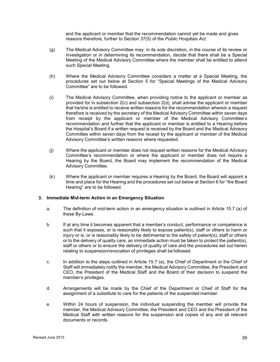and the applicant or member that the recommendation cannot yet be made and gives reasons therefore, further to Section 37(5) of the *Public Hospitals Act.* 

- (g) The Medical Advisory Committee may, in its sole discretion, in the course of its review or investigation or in determining its recommendation, decide that there shall be a Special Meeting of the Medical Advisory Committee where the member shall be entitled to attend such Special Meeting.
- (h) Where the Medical Advisory Committee considers a matter at a Special Meeting, the procedures set out below at Section 5 for "Special Meetings of the Medical Advisory Committee" are to be followed.
- (i) The Medical Advisory Committee, when providing notice to the applicant or member as provided for in subsection 2(c) and subsection 2(d), shall advise the applicant or member that he/she is entitled to receive written reasons for the recommendation wherein a request therefore is received by the secretary of the Medical Advisory Committee within seven days from receipt by the applicant or member of the Medical Advisory Committee's recommendation and further that the applicant or member is entitled to a Hearing before the Hospital's Board if a written request is received by the Board and the Medical Advisory Committee within seven days from the receipt by the applicant or member of the Medical Advisory Committee's written reasons where requested.
- (j) Where the applicant or member does not request written reasons for the Medical Advisory Committee's recommendation or where the applicant or member does not require a Hearing by the Board, the Board may implement the recommendation of the Medical Advisory Committee.
- (k) Where the applicant or member requires a Hearing by the Board, the Board will appoint a time and place for the Hearing and the procedures set out below at Section 6 for "the Board Hearing" are to be followed.

#### **3. Immediate Mid-term Action in an Emergency Situation**

- a. The definition of mid-term action in an emergency situation is outlined in Article 15.7 (a) of these By-Laws.
- b. If at any time it becomes apparent that a member's conduct, performance or competence is such that it exposes, or is reasonably likely to expose patient(s), staff or others to harm or injury or is, or is reasonably likely to be detrimental to the safety of patient(s), staff or others or to the delivery of quality care, an immediate action must be taken to protect the patient(s), staff or others or to ensure the delivery of quality of care and the procedures set out herein relating to suspension/revocation of privileges shall be followed.
- c. In addition to the steps outlined in Article 15.7 (a), the Chief of Department or the Chief of Staff will immediately notify the member, the Medical Advisory Committee, the President and CEO, the President of the Medical Staff and the Board of their decision to suspend the member's privileges.
- d. Arrangements will be made by the Chief of the Department or Chief of Staff for the assignment of a substitute to care for the patients of the suspended member.
- e. Within 24 hours of suspension, the individual suspending the member will provide the member, the Medical Advisory Committee, the President and CEO and the President of the Medical Staff with written reasons for the suspension and copies of any and all relevant documents or records.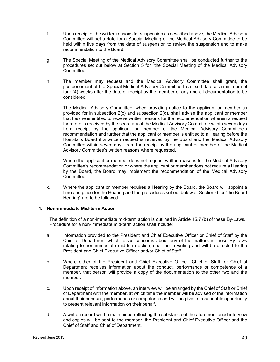- f. Upon receipt of the written reasons for suspension as described above, the Medical Advisory Committee will set a date for a Special Meeting of the Medical Advisory Committee to be held within five days from the date of suspension to review the suspension and to make recommendation to the Board.
- g. The Special Meeting of the Medical Advisory Committee shall be conducted further to the procedures set out below at Section 5 for "the Special Meeting of the Medical Advisory Committee.
- h. The member may request and the Medical Advisory Committee shall grant, the postponement of the Special Medical Advisory Committee to a fixed date at a minimum of four (4) weeks after the date of receipt by the member of any and all documentation to be considered.
- i. The Medical Advisory Committee, when providing notice to the applicant or member as provided for in subsection 2(c) and subsection 2(d), shall advise the applicant or member that he/she is entitled to receive written reasons for the recommendation wherein a request therefore is received by the secretary of the Medical Advisory Committee within seven days from receipt by the applicant or member of the Medical Advisory Committee's recommendation and further that the applicant or member is entitled to a Hearing before the Hospital's Board if a written request is received by the Board and the Medical Advisory Committee within seven days from the receipt by the applicant or member of the Medical Advisory Committee's written reasons where requested.
- j. Where the applicant or member does not request written reasons for the Medical Advisory Committee's recommendation or where the applicant or member does not require a Hearing by the Board, the Board may implement the recommendation of the Medical Advisory Committee.
- k. Where the applicant or member requires a Hearing by the Board, the Board will appoint a time and place for the Hearing and the procedures set out below at Section 6 for "the Board Hearing" are to be followed.

#### **4. Non-immediate Mid-term Action**

The definition of a non-immediate mid-term action is outlined in Article 15.7 (b) of these By-Laws. Procedure for a non-immediate mid-term action shall include:

- a. Information provided to the President and Chief Executive Officer or Chief of Staff by the Chief of Department which raises concerns about any of the matters in these By-Laws relating to non-immediate mid-term action, shall be in writing and will be directed to the President and Chief Executive Officer and/or Chief of Staff.
- b. Where either of the President and Chief Executive Officer, Chief of Staff, or Chief of Department receives information about the conduct, performance or competence of a member, that person will provide a copy of the documentation to the other two and the member.
- c. Upon receipt of information above, an interview will be arranged by the Chief of Staff or Chief of Department with the member, at which time the member will be advised of the information about their conduct, performance or competence and will be given a reasonable opportunity to present relevant information on their behalf.
- d. A written record will be maintained reflecting the substance of the aforementioned interview and copies will be sent to the member, the President and Chief Executive Officer and the Chief of Staff and Chief of Department.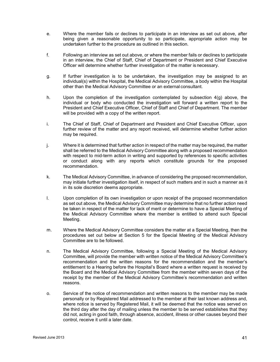- e. Where the member fails or declines to participate in an interview as set out above, after being given a reasonable opportunity to so participate, appropriate action may be undertaken further to the procedure as outlined in this section.
- f. Following an interview as set out above, or where the member fails or declines to participate in an interview, the Chief of Staff, Chief of Department or President and Chief Executive Officer will determine whether further investigation of the matter is necessary.
- g. If further investigation is to be undertaken, the investigation may be assigned to an individual(s) within the Hospital, the Medical Advisory Committee, a body within the Hospital other than the Medical Advisory Committee or an external consultant.
- h. Upon the completion of the investigation contemplated by subsection  $4(q)$  above, the individual or body who conducted the investigation will forward a written report to the President and Chief Executive Officer, Chief of Staff and Chief of Department. The member will be provided with a copy of the written report.
- i. The Chief of Staff, Chief of Department and President and Chief Executive Officer, upon further review of the matter and any report received, will determine whether further action may be required.
- j. Where it is determined that further action in respect of the matter may be required, the matter shall be referred to the Medical Advisory Committee along with a proposed recommendation with respect to mid-term action in writing and supported by references to specific activities or conduct along with any reports which constitute grounds for the proposed recommendation.
- k. The Medical Advisory Committee, in advance of considering the proposed recommendation, may initiate further investigation itself, in respect of such matters and in such a manner as it in its sole discretion deems appropriate.
- l. Upon completion of its own investigation or upon receipt of the proposed recommendation as set out above, the Medical Advisory Committee may determine that no further action need be taken in respect of the matter for lack of merit or determine to have a Special Meeting of the Medical Advisory Committee where the member is entitled to attend such Special Meeting.
- m. Where the Medical Advisory Committee considers the matter at a Special Meeting, then the procedures set out below at Section 5 for the Special Meeting of the Medical Advisory Committee are to be followed.
- n. The Medical Advisory Committee, following a Special Meeting of the Medical Advisory Committee, will provide the member with written notice of the Medical Advisory Committee's recommendation and the written reasons for the recommendation and the member's entitlement to a Hearing before the Hospital's Board where a written request is received by the Board and the Medical Advisory Committee from the member within seven days of the receipt by the member of the Medical Advisory Committee's recommendation and written reasons.
- o. Service of the notice of recommendation and written reasons to the member may be made personally or by Registered Mail addressed to the member at their last known address and, where notice is served by Registered Mail, it will be deemed that the notice was served on the third day after the day of mailing unless the member to be served establishes that they did not, acting in good faith, through absence, accident, illness or other causes beyond their control, receive it until a later date.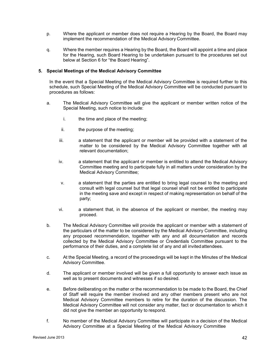- p. Where the applicant or member does not require a Hearing by the Board, the Board may implement the recommendation of the Medical Advisory Committee.
- q. Where the member requires a Hearing by the Board, the Board will appoint a time and place for the Hearing, such Board Hearing to be undertaken pursuant to the procedures set out below at Section 6 for "the Board Hearing".

#### **5. Special Meetings of the Medical Advisory Committee**

In the event that a Special Meeting of the Medical Advisory Committee is required further to this schedule, such Special Meeting of the Medical Advisory Committee will be conducted pursuant to procedures as follows:

- a. The Medical Advisory Committee will give the applicant or member written notice of the Special Meeting, such notice to include:
	- i. the time and place of the meeting;
	- ii. the purpose of the meeting;
	- iii. a statement that the applicant or member will be provided with a statement of the matter to be considered by the Medical Advisory Committee together with all relevant documentation;
	- iv. a statement that the applicant or member is entitled to attend the Medical Advisory Committee meeting and to participate fully in all matters under consideration by the Medical Advisory Committee;
	- v. a statement that the parties are entitled to bring legal counsel to the meeting and consult with legal counsel but that legal counsel shall not be entitled to participate in the meeting save and except in respect of making representation on behalf of the party;
	- vi. a statement that, in the absence of the applicant or member, the meeting may proceed.
- b. The Medical Advisory Committee will provide the applicant or member with a statement of the particulars of the matter to be considered by the Medical Advisory Committee, including any proposed recommendation, together with any and all documentation and records collected by the Medical Advisory Committee or Credentials Committee pursuant to the performance of their duties, and a complete list of any and all invited attendees.
- c. At the Special Meeting, a record of the proceedings will be kept in the Minutes of the Medical Advisory Committee.
- d. The applicant or member involved will be given a full opportunity to answer each issue as well as to present documents and witnesses if so desired.
- e. Before deliberating on the matter or the recommendation to be made to the Board, the Chief of Staff will require the member involved and any other members present who are not Medical Advisory Committee members to retire for the duration of the discussion. The Medical Advisory Committee will not consider any matter, fact or documentation to which it did not give the member an opportunity to respond.
- f. No member of the Medical Advisory Committee will participate in a decision of the Medical Advisory Committee at a Special Meeting of the Medical Advisory Committee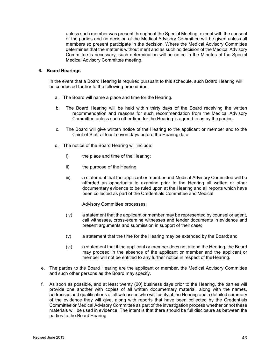unless such member was present throughout the Special Meeting, except with the consent of the parties and no decision of the Medical Advisory Committee will be given unless all members so present participate in the decision. Where the Medical Advisory Committee determines that the matter is without merit and as such no decision of the Medical Advisory Committee is necessary, such determination will be noted in the Minutes of the Special Medical Advisory Committee meeting.

#### **6. Board Hearings**

In the event that a Board Hearing is required pursuant to this schedule, such Board Hearing will be conducted further to the following procedures.

- a. The Board will name a place and time for the Hearing.
- b. The Board Hearing will be held within thirty days of the Board receiving the written recommendation and reasons for such recommendation from the Medical Advisory Committee unless such other time for the Hearing is agreed to as by the parties.
- c. The Board will give written notice of the Hearing to the applicant or member and to the Chief of Staff at least seven days before the Hearing date.
- d. The notice of the Board Hearing will include:
	- i) the place and time of the Hearing;
	- ii) the purpose of the Hearing;
	- iii) a statement that the applicant or member and Medical Advisory Committee will be afforded an opportunity to examine prior to the Hearing all written or other documentary evidence to be ruled upon at the Hearing and all reports which have been collected as part of the Credentials Committee and Medical

Advisory Committee processes;

- (iv) a statement that the applicant or member may be represented by counsel or agent, call witnesses, cross-examine witnesses and tender documents in evidence and present arguments and submission in support of their case;
- (v) a statement that the time for the Hearing may be extended by the Board; and
- (vi) a statement that if the applicant or member does not attend the Hearing, the Board may proceed in the absence of the applicant or member and the applicant or member will not be entitled to any further notice in respect of the Hearing.
- e. The parties to the Board Hearing are the applicant or member, the Medical Advisory Committee and such other persons as the Board may specify.
- f. As soon as possible, and at least twenty (20) business days prior to the Hearing, the parties will provide one another with copies of all written documentary material, along with the names, addresses and qualifications of all witnesses who will testify at the Hearing and a detailed summary of the evidence they will give, along with reports that have been collected by the Credentials Committee or Medical Advisory Committee as part of the investigation process whether or not these materials will be used in evidence. The intent is that there should be full disclosure as between the parties to the Board Hearing.